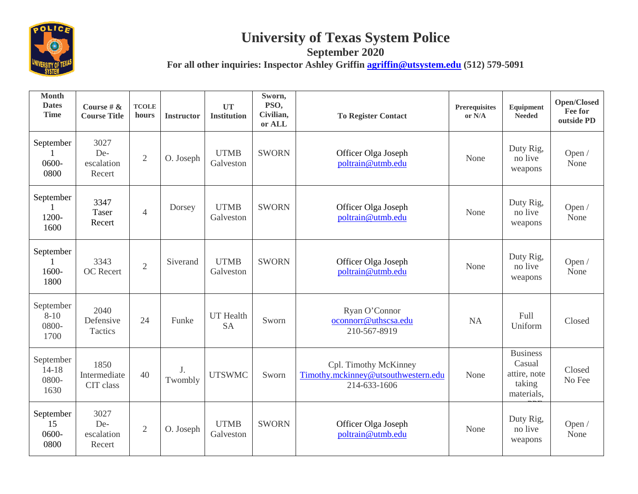

## **University of Texas System Police**

**September 2020**

For all other inquiries: Inspector Ashley Griffin **agriffin@utsystem.edu** (512) 579-5091

| <b>Month</b><br><b>Dates</b><br><b>Time</b> | Course # $\&$<br><b>Course Title</b> | <b>TCOLE</b><br>hours | <b>Instructor</b> | <b>UT</b><br><b>Institution</b> | Sworn,<br>PSO,<br>Civilian,<br>or ALL | <b>To Register Contact</b>                                                   | <b>Prerequisites</b><br>or N/A | Equipment<br><b>Needed</b>                                        | Open/Closed<br>Fee for<br>outside PD |
|---------------------------------------------|--------------------------------------|-----------------------|-------------------|---------------------------------|---------------------------------------|------------------------------------------------------------------------------|--------------------------------|-------------------------------------------------------------------|--------------------------------------|
| September<br>0600-<br>0800                  | 3027<br>De-<br>escalation<br>Recert  | $\overline{2}$        | O. Joseph         | <b>UTMB</b><br>Galveston        | <b>SWORN</b>                          | Officer Olga Joseph<br>poltrain@utmb.edu                                     | None                           | Duty Rig,<br>no live<br>weapons                                   | Open /<br>None                       |
| September<br>1200-<br>1600                  | 3347<br>Taser<br>Recert              | $\overline{4}$        | Dorsey            | <b>UTMB</b><br>Galveston        | <b>SWORN</b>                          | Officer Olga Joseph<br>poltrain@utmb.edu                                     | None                           | Duty Rig,<br>no live<br>weapons                                   | Open /<br>None                       |
| September<br>1600-<br>1800                  | 3343<br><b>OC</b> Recert             | $\overline{2}$        | Siverand          | <b>UTMB</b><br>Galveston        | <b>SWORN</b>                          | Officer Olga Joseph<br>poltrain@utmb.edu                                     | None                           | Duty Rig,<br>no live<br>weapons                                   | Open /<br>None                       |
| September<br>$8 - 10$<br>0800-<br>1700      | 2040<br>Defensive<br>Tactics         | 24                    | Funke             | UT Health<br><b>SA</b>          | Sworn                                 | Ryan O'Connor<br>oconnorr@uthscsa.edu<br>210-567-8919                        | <b>NA</b>                      | Full<br>Uniform                                                   | Closed                               |
| September<br>$14 - 18$<br>0800-<br>1630     | 1850<br>Intermediate<br>CIT class    | 40                    | J.<br>Twombly     | <b>UTSWMC</b>                   | Sworn                                 | Cpl. Timothy McKinney<br>Timothy.mckinney@utsouthwestern.edu<br>214-633-1606 | None                           | <b>Business</b><br>Casual<br>attire, note<br>taking<br>materials, | Closed<br>No Fee                     |
| September<br>15<br>0600-<br>0800            | 3027<br>De-<br>escalation<br>Recert  | $\overline{2}$        | O. Joseph         | <b>UTMB</b><br>Galveston        | <b>SWORN</b>                          | Officer Olga Joseph<br>poltrain@utmb.edu                                     | None                           | Duty Rig,<br>no live<br>weapons                                   | Open /<br>None                       |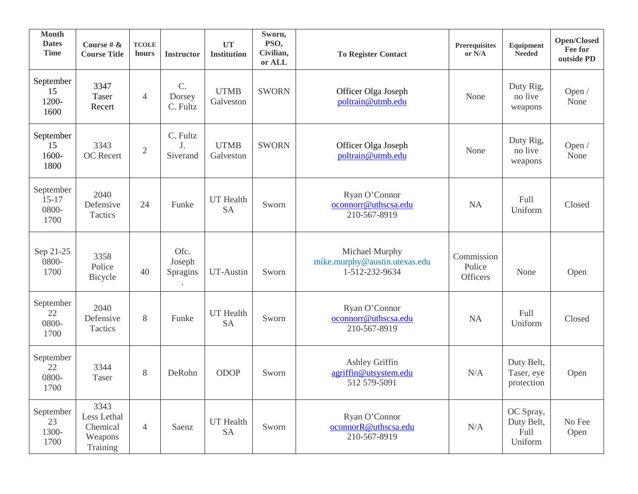| <b>Month</b><br><b>Dates</b><br><b>Time</b> | Course # $\&$<br><b>Course Title</b>                   | <b>TCOLE</b><br>hours | <b>Instructor</b>          | <b>UT</b><br><b>Institution</b> | Sworn,<br>PSO,<br>Civilian,<br>or ALL | <b>To Register Contact</b>                                        | Prerequisites<br>or N/A                 | Equipment<br><b>Needed</b>                 | Open/Closed<br>Fee for<br>outside PD |
|---------------------------------------------|--------------------------------------------------------|-----------------------|----------------------------|---------------------------------|---------------------------------------|-------------------------------------------------------------------|-----------------------------------------|--------------------------------------------|--------------------------------------|
| September<br>15<br>1200-<br>1600            | 3347<br>Taser<br>Recert                                | 4                     | C.<br>Dorsey<br>C. Fultz   | <b>UTMB</b><br>Galveston        | <b>SWORN</b>                          | Officer Olga Joseph<br>poltrain@utmb.edu                          | None                                    | Duty Rig,<br>no live<br>weapons            | Open /<br>None                       |
| September<br>15<br>1600-<br>1800            | 3343<br>OC Recert                                      | $\sqrt{2}$            | C. Fultz<br>J.<br>Siverand | <b>UTMB</b><br>Galveston        | <b>SWORN</b>                          | Officer Olga Joseph<br>poltrain@utmb.edu                          | None                                    | Duty Rig,<br>no live<br>weapons            | Open /<br>None                       |
| September<br>$15 - 17$<br>0800-<br>1700     | 2040<br>Defensive<br>Tactics                           | 24                    | Funke                      | UT Health<br><b>SA</b>          | Sworn                                 | Ryan O'Connor<br>oconnorr@uthscsa.edu<br>210-567-8919             | <b>NA</b>                               | Full<br>Uniform                            | Closed                               |
| Sep 21-25<br>0800-<br>1700                  | 3358<br>Police<br>Bicycle                              | 40                    | Ofc.<br>Joseph<br>Spragins | UT-Austin                       | Sworn                                 | Michael Murphy<br>mike.murphy@austin.utexas.edu<br>1-512-232-9634 | Commission<br>Police<br><b>Officers</b> | None                                       | Open                                 |
| September<br>22<br>0800-<br>1700            | 2040<br>Defensive<br>Tactics                           | 8                     | Funke                      | UT Health<br><b>SA</b>          | Sworn                                 | Ryan O'Connor<br>oconnorr@uthscsa.edu<br>210-567-8919             | <b>NA</b>                               | Full<br>Uniform                            | Closed                               |
| September<br>22<br>0800-<br>1700            | 3344<br>Taser                                          | 8                     | DeRohn                     | ODOP                            | Sworn                                 | Ashley Griffin<br>agriffin@utsystem.edu<br>512 579-5091           | N/A                                     | Duty Belt,<br>Taser, eye<br>protection     | Open                                 |
| September<br>23<br>1300-<br>1700            | 3343<br>Less Lethal<br>Chemical<br>Weapons<br>Training | $\overline{4}$        | Saenz                      | <b>UT</b> Health<br><b>SA</b>   | Sworn                                 | Ryan O'Connor<br>oconnorR@uthscsa.edu<br>210-567-8919             | $\rm N/A$                               | OC Spray,<br>Duty Belt,<br>Full<br>Uniform | No Fee<br>Open                       |